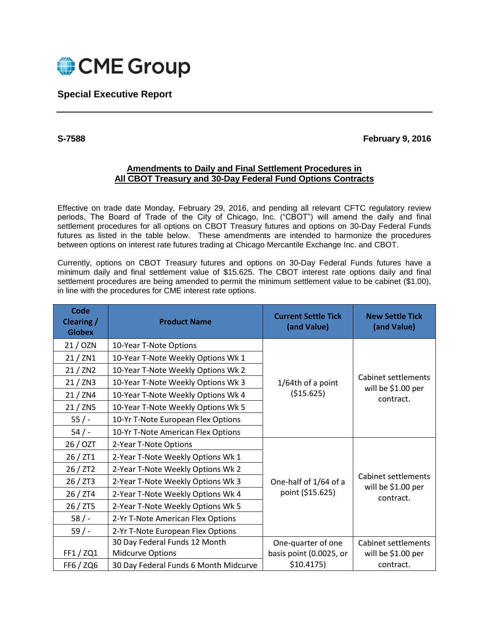

## **Special Executive Report**

## **S-7588 February 9, 2016**

## **Amendments to Daily and Final Settlement Procedures in All CBOT Treasury and 30-Day Federal Fund Options Contracts**

Effective on trade date Monday, February 29, 2016, and pending all relevant CFTC regulatory review periods, The Board of Trade of the City of Chicago, Inc. ("CBOT") will amend the daily and final settlement procedures for all options on CBOT Treasury futures and options on 30-Day Federal Funds futures as listed in the table below. These amendments are intended to harmonize the procedures between options on interest rate futures trading at Chicago Mercantile Exchange Inc. and CBOT.

Currently, options on CBOT Treasury futures and options on 30-Day Federal Funds futures have a minimum daily and final settlement value of \$15.625. The CBOT interest rate options daily and final settlement procedures are being amended to permit the minimum settlement value to be cabinet (\$1.00), in line with the procedures for CME interest rate options.

| Code<br>Clearing /<br><b>Globex</b> | <b>Product Name</b>                   | <b>Current Settle Tick</b><br>(and Value)    | <b>New Settle Tick</b><br>(and Value)                  |
|-------------------------------------|---------------------------------------|----------------------------------------------|--------------------------------------------------------|
| 21 / OZN                            | 10-Year T-Note Options                |                                              |                                                        |
| 21 / ZN1                            | 10-Year T-Note Weekly Options Wk 1    | 1/64th of a point<br>(\$15.625)              | Cabinet settlements<br>will be \$1.00 per<br>contract. |
| 21 / ZN2                            | 10-Year T-Note Weekly Options Wk 2    |                                              |                                                        |
| 21 / ZN3                            | 10-Year T-Note Weekly Options Wk 3    |                                              |                                                        |
| 21 / ZN4                            | 10-Year T-Note Weekly Options Wk 4    |                                              |                                                        |
| 21 / ZN5                            | 10-Year T-Note Weekly Options Wk 5    |                                              |                                                        |
| 55/                                 | 10-Yr T-Note European Flex Options    |                                              |                                                        |
| 54/                                 | 10-Yr T-Note American Flex Options    |                                              |                                                        |
| 26 / OZT                            | 2-Year T-Note Options                 | Cabinet settlements<br>One-half of 1/64 of a |                                                        |
| 26 / ZT1                            | 2-Year T-Note Weekly Options Wk 1     |                                              |                                                        |
| 26 / ZT2                            | 2-Year T-Note Weekly Options Wk 2     |                                              |                                                        |
| 26 / ZT3                            | 2-Year T-Note Weekly Options Wk 3     |                                              | will be \$1.00 per                                     |
| 26 / ZT4                            | 2-Year T-Note Weekly Options Wk 4     | point (\$15.625)                             | contract.                                              |
| 26 / ZT5                            | 2-Year T-Note Weekly Options Wk 5     |                                              |                                                        |
| 58/                                 | 2-Yr T-Note American Flex Options     |                                              |                                                        |
| $59/ -$                             | 2-Yr T-Note European Flex Options     |                                              |                                                        |
|                                     | 30 Day Federal Funds 12 Month         | One-quarter of one                           | Cabinet settlements                                    |
| FF1 / ZQ1                           | Midcurve Options                      | basis point (0.0025, or                      | will be \$1.00 per                                     |
| FF6 / ZQ6                           | 30 Day Federal Funds 6 Month Midcurve | \$10.4175)                                   | contract.                                              |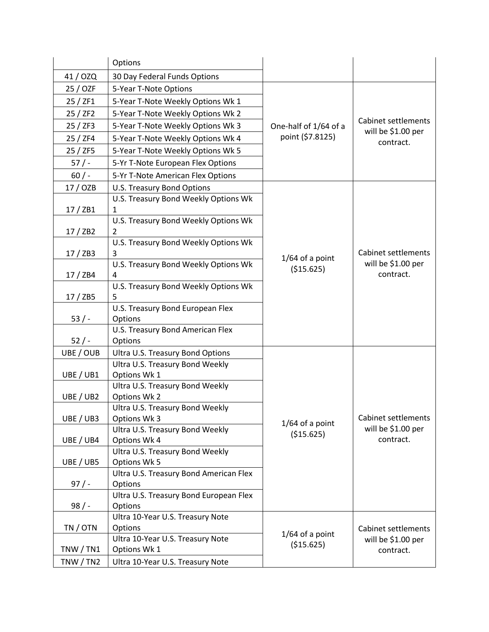|             | Options                                           |                                                                                                  |                                                               |
|-------------|---------------------------------------------------|--------------------------------------------------------------------------------------------------|---------------------------------------------------------------|
| 41 / OZQ    | 30 Day Federal Funds Options                      |                                                                                                  |                                                               |
| 25 / OZF    | 5-Year T-Note Options                             |                                                                                                  |                                                               |
| 25 / ZF1    | 5-Year T-Note Weekly Options Wk 1                 |                                                                                                  | <b>Cabinet settlements</b><br>will be \$1.00 per<br>contract. |
| 25/ZF2      | 5-Year T-Note Weekly Options Wk 2                 |                                                                                                  |                                                               |
| 25/ZF3      | 5-Year T-Note Weekly Options Wk 3                 | One-half of 1/64 of a                                                                            |                                                               |
| 25 / ZF4    | 5-Year T-Note Weekly Options Wk 4                 | point (\$7.8125)                                                                                 |                                                               |
| 25 / ZF5    | 5-Year T-Note Weekly Options Wk 5                 |                                                                                                  |                                                               |
| 57/         | 5-Yr T-Note European Flex Options                 |                                                                                                  |                                                               |
| 60/         | 5-Yr T-Note American Flex Options                 |                                                                                                  |                                                               |
| 17 / OZB    | U.S. Treasury Bond Options                        |                                                                                                  |                                                               |
|             | U.S. Treasury Bond Weekly Options Wk              |                                                                                                  | <b>Cabinet settlements</b><br>will be \$1.00 per<br>contract. |
| 17/2B1      | 1                                                 |                                                                                                  |                                                               |
|             | U.S. Treasury Bond Weekly Options Wk              |                                                                                                  |                                                               |
| 17/ZB2      | $\overline{2}$                                    |                                                                                                  |                                                               |
|             | U.S. Treasury Bond Weekly Options Wk              | $1/64$ of a point<br>(\$15.625)                                                                  |                                                               |
| 17/ZB3      | 3                                                 |                                                                                                  |                                                               |
| 17/ZB4      | U.S. Treasury Bond Weekly Options Wk<br>4         |                                                                                                  |                                                               |
|             | U.S. Treasury Bond Weekly Options Wk              |                                                                                                  |                                                               |
| 17/2B5      | 5                                                 |                                                                                                  |                                                               |
|             | U.S. Treasury Bond European Flex                  |                                                                                                  |                                                               |
| 53/         | Options                                           |                                                                                                  |                                                               |
|             | U.S. Treasury Bond American Flex                  |                                                                                                  |                                                               |
| $52/ -$     | Options                                           |                                                                                                  |                                                               |
| UBE / OUB   | Ultra U.S. Treasury Bond Options                  |                                                                                                  |                                                               |
|             | Ultra U.S. Treasury Bond Weekly                   |                                                                                                  | <b>Cabinet settlements</b><br>will be \$1.00 per<br>contract. |
| UBE / UB1   | Options Wk 1                                      |                                                                                                  |                                                               |
| UBE / UB2   | Ultra U.S. Treasury Bond Weekly<br>Options Wk 2   |                                                                                                  |                                                               |
|             | Ultra U.S. Treasury Bond Weekly                   |                                                                                                  |                                                               |
| UBE / UB3   | Options Wk 3                                      |                                                                                                  |                                                               |
|             | Ultra U.S. Treasury Bond Weekly                   | $1/64$ of a point<br>(\$15.625)                                                                  |                                                               |
| UBE / UB4   | Options Wk 4                                      |                                                                                                  |                                                               |
|             | Ultra U.S. Treasury Bond Weekly                   |                                                                                                  |                                                               |
| UBE / UB5   | Options Wk 5                                      |                                                                                                  |                                                               |
|             | Ultra U.S. Treasury Bond American Flex            | <b>Cabinet settlements</b><br>$1/64$ of a point<br>will be \$1.00 per<br>(\$15.625)<br>contract. |                                                               |
| $97/$ -     | Options                                           |                                                                                                  |                                                               |
|             | Ultra U.S. Treasury Bond European Flex<br>Options |                                                                                                  |                                                               |
| 98/         | Ultra 10-Year U.S. Treasury Note                  |                                                                                                  |                                                               |
| TN / OTN    | Options                                           |                                                                                                  |                                                               |
|             | Ultra 10-Year U.S. Treasury Note                  |                                                                                                  |                                                               |
| TNW / TN1   | Options Wk 1                                      |                                                                                                  |                                                               |
| TNW $/$ TN2 | Ultra 10-Year U.S. Treasury Note                  |                                                                                                  |                                                               |